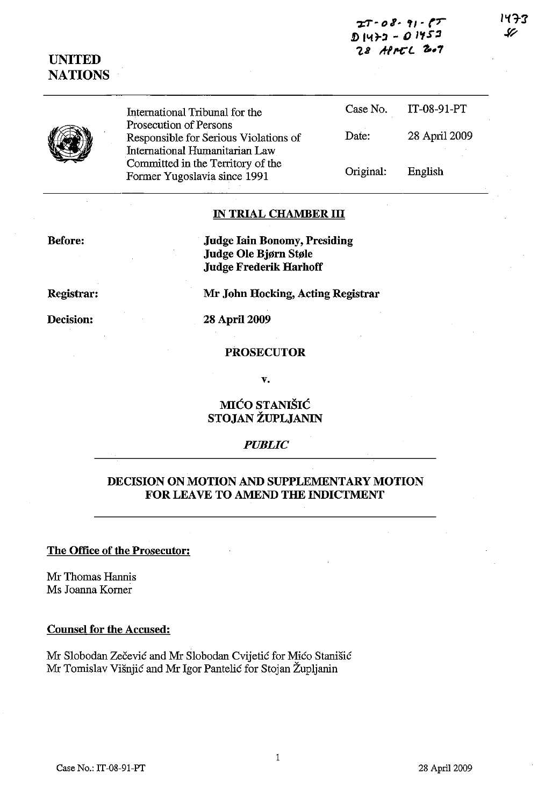| $27 - 08 - 91 - 07$    |
|------------------------|
| D 1472 - <i>0 1452</i> |
| 28 APPEL 2007          |

**UNITED NATIONS** 

> International Tribunal for the Prosecution of Persons Responsible for Serious Violations of International Humanitarian Law Committed in the Territory of the Former Yugoslavia since 1991 Case No. Date: Original: IT-08-91-PT 28 April 2009 English

# **IN TRIAL CHAMBER III**

**Before:** 

**Judge lain Bonomy, Presiding Judge Ole Bjørn Støle Judge Frederik Harhoff** 

**Mr John Hocking, Acting Registrar** 

**Registrar:** 

**Decision:** 

**28** April 2009

#### **PROSECUTOR**

**v.** 

# **MICO STANISIC STOJAN ZUPLJANIN**

#### *PUBLIC*

# **DECISION ON MOTION AND SUPPLEMENTARY MOTION FOR LEAVE TO AMEND THE INDICTMENT**

## **The Office of the Prosecutor:**

Mr Thomas Hannis Ms Joanna Komer

### **Counsel for the Accused:**

Mr Slobodan Zečević and Mr Slobodan Cvijetić for Mićo Stanišić Mr Tomislav Visnjic and Mr Igor Pantelic for Stojan Zupljanin

パチ3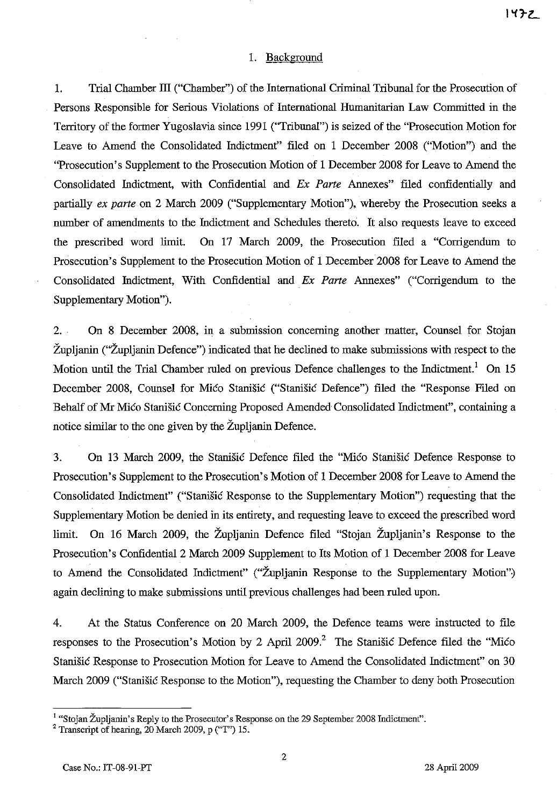### 1. Background

1. Trial Chamber III ("Chamber") of the International Criminal Tribunal for the Prosecution of Persons Responsible for Serious Violations of International Humanitarian Law Committed in the Territory of the former Yugoslavia since 1991 ("Tribunal") is seized of the "Prosecution Motion for Leave to Amend the Consolidated Indictment" filed on 1 December 2008 ("Motion") and the "Prosecution's Supplement to the Prosecution Motion of 1 December 2008 for Leave to Amend the Consolidated Indictment, with Confidential and *Ex Parte* Annexes" filed confidentially and partially *ex parte* on 2 March 2009 ("Supplementary Motion"), whereby the Prosecution seeks a number of amendments to the Indictment and Schedules thereto. It also requests leave to exceed the prescribed word limit. On 17 March 2009, the Prosecution filed a "Corrigendum to Prosecution's Supplement to the Prosecution Motion of 1 December 2008 for Leave to Amend the Consolidated Indictment, With Confidential and *Ex Parte* Annexes" ("Corrigendum to the Supplementary Motion").

2. . On 8 December 2008, in a submission concerning another matter, Counsel for Stojan Zupljanin ("Zupljanin Defence") indicated that he declined to make subrnissions with respect to the Motion until the Trial Chamber ruled on previous Defence challenges to the Indictment.<sup>1</sup> On 15 December 2008, Counsel for Mico Stanisic ("Stanisic Defence") filed the "Response Filed on Behalf of Mr Mico Stanisic Concerning Proposed Amended Consolidated Indictment", containing a notice similar to the one given by the Zupljanin Defence.

3. On 13 March 2009, the Stanisic Defence filed the "Mico Stanisic Defence *Response* to Prosecution's Supplement to the Prosecution's Motion of 1 December 2008 for Leave to Amend the Consolidated Indictment" ("Stanisic Response to the Supplementary Motion") requesting that the Supplementary Motion be denied in its entirety, and requesting leave to exceed the prescribed word limit. On 16 March 2009, the Zupljanin Defence filed "Stojan Zupljanin's Response to the Prosecution's Confidential 2 March 2009 Supplement to Its Motion of 1 December 2008 for Leave to Amend the Consolidated Indictment" ("Župljanin Response to the Supplementary Motion") again declining to make submissions until previous challenges had been ruled upon.

4. At the Status Conference on 20 March 2009, the Defence teams were instructed to file responses to the Prosecution's Motion by 2 April 2009.<sup>2</sup> The Stanistic Defence filed the "Mico" Stanisic Response to Prosecution Motion for Leave to Amend the Consolidated Indictment" on 30 March 2009 ("Stanisic Response to the Motion"), requesting the Chamber to deny both Prosecution

<sup>&</sup>lt;sup>1</sup> "Stojan Župljanin's Reply to the Prosecutor's Response on the 29 September 2008 Indictment".

<sup>&</sup>lt;sup>2</sup> Transcript of hearing,  $20$  March 2009, p ("T") 15.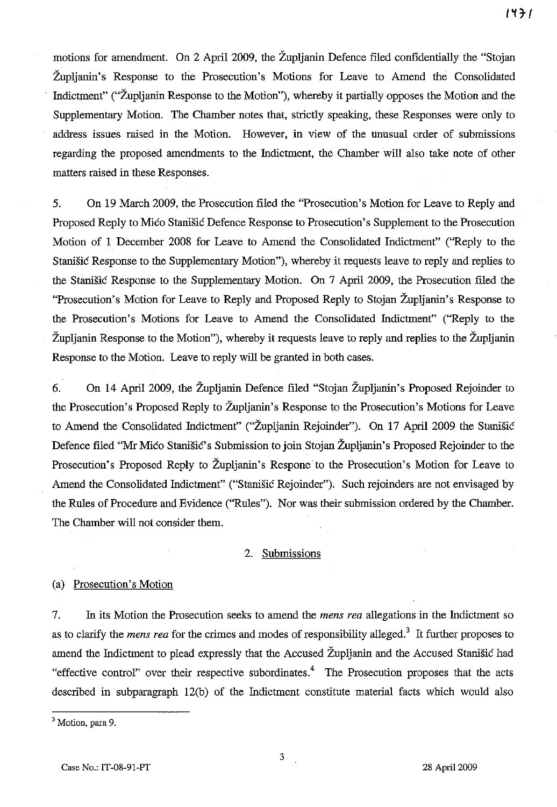motions for amendment. On 2 April 2009, the Zupljanin Defence filed confidentially the "Stojan Zupljanin's Response to the Prosecution's Motions for Leave to Amend the Consolidated Indictment" ("Zupljanin Response to the Motion"), whereby it partially opposes the Motion and the Supplementary Motion. The Chamber notes that, strictly speaking, these Responses were only to address issues raised in the Motion. However, in view of the unusual order of submissions regarding the proposed amendments to the Indictment, the Chamber will also take note of other matters raised in these Responses.

5. On 19 March 2009, the Prosecution filed the "Prosecution's Motion for Leave to Reply and Proposed Reply to Mićo Stanišić Defence Response to Prosecution's Supplement to the Prosecution Motion of I December 2008 for Leave to Amend the Consolidated Indictment" ("Reply to the Stanišić Response to the Supplementary Motion"), whereby it requests leave to reply and replies to the Stanišić Response to the Supplementary Motion. On 7 April 2009, the Prosecution filed the "Prosecution's Motion for Leave to Reply and Proposed Reply to Stojan Zupljanin's Response to the Prosecution's Motions for Leave to Amend the Consolidated Indictment" ("Reply to the Zupljanin Response to the Motion"), whereby it requests leave to reply and replies to the Zupljanin Response to the Motion. Leave to reply will be granted in both cases.

6. On 14 April 2009, the Zupljanin Defence filed "Stojan Zupljanin's Proposed Rejoinder to the Prosecution's Proposed Reply to Zupljanin's Response to the Prosecution's Motions for Leave to Amend the Consolidated Indictment" ("Župljanin Rejoinder"). On 17 April 2009 the Stanišić Defence filed "Mr Mićo Stanišić's Submission to join Stojan Župljanin's Proposed Rejoinder to the Prosecution's Proposed Reply to Župljanin's Respone to the Prosecution's Motion for Leave to Amend the Consolidated Indictment" ("Stanišić Rejoinder"). Such rejoinders are not envisaged by the Rules of Procedure and Evidence ("Rules"). Nor was their submission ordered by the Chamber. The Chamber will not consider them.

# 2. Submissions

### (a) Prosecution's Motion

7. In its Motion the Prosecution seeks to amend the *mens rea* allegations in the Indictment so as to clarify the *mens rea* for the crimes and modes of responsibility alleged.<sup>3</sup> It further proposes to amend the Indictment to plead expressly that the Accused Župljanin and the Accused Stanišić had "effective control" over their respective subordinates.<sup>4</sup> The Prosecution proposes that the acts described in subparagraph 12(b) of the Indictment constitute material facts which would also

<sup>&</sup>lt;sup>3</sup> Motion, para 9.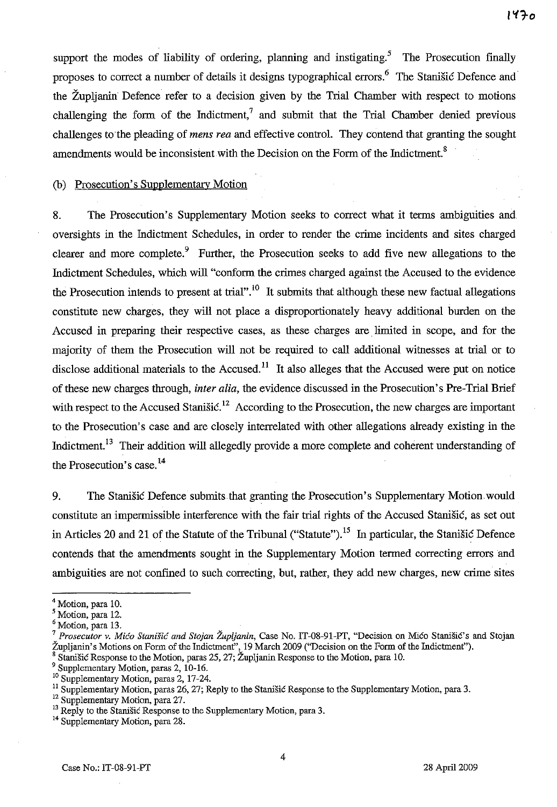support the modes of liability of ordering, planning and instigating.<sup>5</sup> The Prosecution finally proposes to correct a number of details it designs typographical errors.<sup>6</sup> The Stanistic Defence and the Zupljanin Defence refer to a decision given by the Trial Chamber with respect to motions challenging the form of the Indictment,<sup>7</sup> and submit that the Trial Chamber denied previous challenges to the pleading of *mens rea* and effective control. They contend that granting the sought amendments would be inconsistent with the Decision on the Form of the Indictment.<sup>8</sup>

(b) Prosecution's Supplementary Motion

8. The Prosecution's Supplementary Motion seeks to correct what it terms ambiguities and oversights in the Indictment Schedules, in order to render the crime incidents and sites charged clearer and more complete.<sup>9</sup> Further, the Prosecution seeks to add five new allegations to the Indictment Schedules, which will "conform the crimes charged against the Accused to the evidence the Prosecution intends to present at trial".<sup>10</sup> It submits that although these new factual allegations constitute new charges, they will not place a disproportionately heavy additional burden on the Accused in preparing their respective cases, as these charges are limited in scope, and for the majority of them the Prosecution will not be required to call additional witnesses at trial or to disclose additional materials to the Accused.<sup>11</sup> It also alleges that the Accused were put on notice of these new charges through, *inter alia,* the evidence discussed in the Prosecution's Pre-Trial Brief with respect to the Accused Stanisic.<sup>12</sup> According to the Prosecution, the new charges are important to the Prosecution's case and are closely interrelated with other allegations already existing in the Indictment.<sup>13</sup> Their addition will allegedly provide a more complete and coherent understanding of the Prosecution's case.<sup>14</sup>

9. The Stanisic Defence submits that granting the Prosecution's Supplementary Motion would constitute an impermissible interference with the fair trial rights of the Accused Stanisic, as set out in Articles 20 and 21 of the Statute of the Tribunal ("Statute").<sup>15</sup> In particular, the Stanistic Defence contends that the amendments sought in the Supplementary Motion termed correcting errors and ambiguities are not confined to such correcting, but, rather, they add new charges, new crime sites

<sup>&</sup>lt;sup>4</sup> Motion, para 10.

Motion, para 12.

Motion, para 13.

<sup>7</sup>*Prosecutor v. Mico Stanisic and Stojan Zup/janin,* Case No. IT-08-91-PT, "Decision on Mico StanisiC's and Stojan Zupljanin's Motions on Form of the Indictment", 19 March 2009 ("Decision on the Form of the Indictment").

<sup>8</sup> Stanisic Response to the Motion, paras 25, 27; Zupljanin Response to the Motion, para 10.

Supplementary Motion, paras 2, 10-16.

<sup>&</sup>lt;sup>10</sup> Supplementary Motion, paras 2, 17-24.

<sup>&</sup>lt;sup>11</sup> Supplementary Motion, paras 26, 27; Reply to the Stanišic Response to the Supplementary Motion, para 3.

<sup>&</sup>lt;sup>12</sup> Supplementary Motion, para 27.

<sup>&</sup>lt;sup>13</sup> Reply to the Stanišić Response to the Supplementary Motion, para 3.

<sup>&</sup>lt;sup>14</sup> Supplementary Motion, para 28.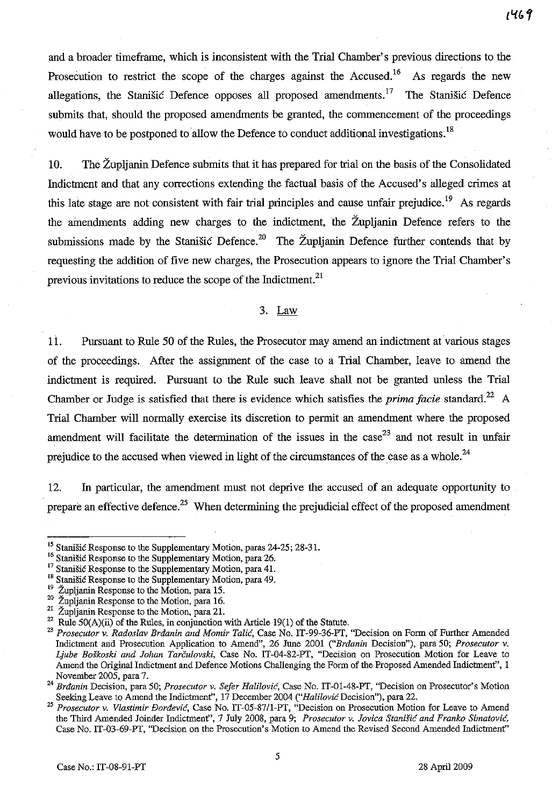and a broader timeframe, which is inconsistent with the Trial Chamber's previous directions to the Prosecution to restrict the scope of the charges against the Accused.<sup>16</sup> As regards the new allegations, the Stanišić Defence opposes all proposed amendments.<sup>17</sup> The Stanišić Defence submits that, should the proposed amendments be granted, the commencement of the proceedings would have to be postponed to allow the Defence to conduct additional investigations.<sup>18</sup>

10. The Zupljanin Defence submits that it has prepared for trial on the basis of the Consolidated Indictment and that any corrections extending the factual basis of the Accused's alleged crimes at this late stage are not consistent with fair trial principles and cause unfair prejudice.<sup>19</sup> As regards the amendments adding new charges to the indictment, the Zupljanin Defence refers to the submissions made by the Stanisic Defence.<sup>20</sup> The Župljanin Defence further contends that by requesting the addition of five new charges, the Prosecution appears to ignore the Trial Chamber's previous invitations to reduce the scope of the Indictment. $2<sup>1</sup>$ 

## 3. Law

11. Pursuant to Rule 50 of the Rules, the Prosecutor may amend an indictment at various stages of the proceedings. After the assignment of the case to a Trial Chamber, leave to amend the indictment is required. Pursuant to the Rule such leave shall not be granted unless the Trial Chamber or Judge is satisfied that there is evidence which satisfies the *prima facie* standard.<sup>22</sup> A Trial Chamber will normally exercise its discretion to pennit an amendment where the proposed amendment will facilitate the determination of the issues in the case<sup>23</sup> and not result in unfair prejudice to the accused when viewed in light of the circumstances of the case as a whole.<sup>24</sup>

12. In particular, the amendment must not deprive the accused of an adequate opportunity to prepare an effective defence.<sup>25</sup> When determining the prejudicial effect of the proposed amendment

<sup>&</sup>lt;sup>15</sup> Stanišić Response to the Supplementary Motion, paras 24-25; 28-31.

<sup>16</sup> Stanisic Response to the Supplementary Motion, para 26.

<sup>&</sup>lt;sup>17</sup> Stanišić Response to the Supplementary Motion, para 41.

<sup>&</sup>lt;sup>18</sup> Stanišić Response to the Supplementary Motion, para 49.

Župljanin Response to the Motion, para 15.

<sup>&</sup>lt;sup>20</sup> Zupljanin Response to the Motion, para 16.

Župljanin Response to the Motion, para 21.

Rule  $50(A)(ii)$  of the Rules, in conjunction with Article 19(1) of the Statute.

<sup>&</sup>lt;sup>23</sup> Prosecutor v. Radoslav Brdanin and Momir Talić, Case No. IT-99-36-PT, "Decision on Form of Further Amended Indictment and Prosecution Applicatiou to Amend", 26 June 2001 *("Brdanin* Decision"), para 50; *Prosecutor v. Ljube Boskoski and Johan Tarculovski,* Case No. IT-04-82-PT, "Decision on Prosecution Motion for Leave to Amend the Original Indictment and Defence Motions Challenging the Form of the Proposed Amended Indictment", 1 November 2005, para 7.

<sup>24</sup>*Brdanin* Decision, para 50; *Prosecutor v. Sefer Halilovic,* Case No. IT-01-48-PT, "Decision on Prosecutor's Motion Seeking Leave to Amend the Indictment", 17 December 2004 *("Halilovic* Decision"), para 22.

*<sup>25</sup> Prosecutor v. Vlastimir Bordevic,* Case No. *IT-05-87/1-PT,* "Decision on Prosecution Motion for Leave to Amend the Third Amended Joinder Indictment", 7 July 2008, para 9; Prosecutor v. Jovica Stanišić and Franko Simatović, Case No. *IT-03-69-PT,* "Decision on the Prosecution's Motion to Amend the Revised Second Amended Indictmenf'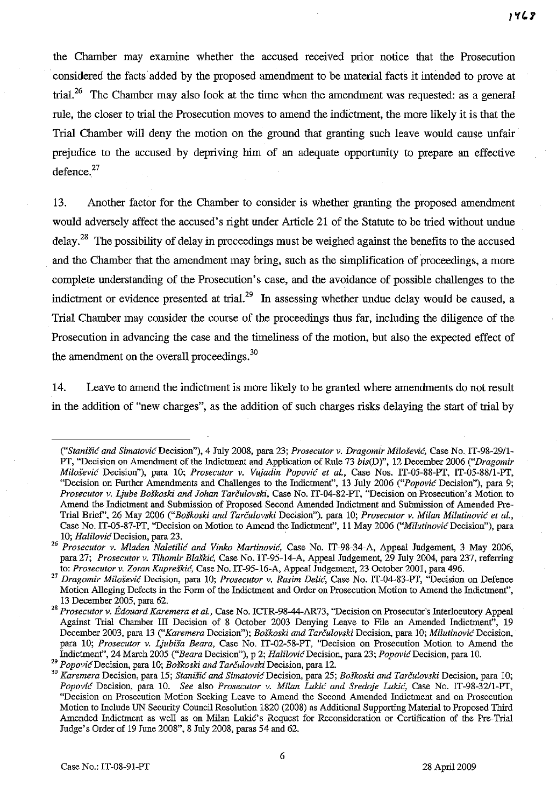the Chamber may examine whether the accused received prior notice that the Prosecution considered the facts added by the proposed amendment to be material facts it intended to prove at trial.<sup>26</sup> The Chamber may also look at the time when the amendment was requested: as a general rule, the closer to trial the Prosecution moves to amend the indictment, the more likely it is that the Trial Chamber will deny the motion on the ground that granting such leave would cause unfair prejudice to the accused by depriving him of an adequate opportunity to prepare an effective defence. $27$ 

13. Another factor for the Chamber to consider is whether granting the proposed amendment would adversely affect the accused's right under Article 21 of the Statute to be tried without undue delay.<sup>28</sup> The possibility of delay in proceedings must be weighed against the benefits to the accused and the Chamber that the amendment may bring, such as the simplification of proceedings, a more complete understanding of the Prosecution's case, and the avoidance of possible challenges to the indictment or evidence presented at trial.<sup>29</sup> In assessing whether undue delay would be caused, a Trial Chamber may consider the course of the proceedings thus far, including the diligence of the Prosecution in advancing the case and the timeliness of the motion, but also the expected effect of the amendment on the overall proceedings.<sup>30</sup>

14. Leave to amend the indictment is more likely to be granted where amendments do not result in the addition of "new charges", as the addition of such charges risks delaying the start of trial by

*<sup>(&</sup>quot;Stanis;': and SimatovicDecision"),* 4 July 200S, para 23; *Prosecutor v. Dragomir Milosevic,* Case No. IT-9S-29/1- PT, "Decision on Amendment of the Indictment and Application of Rule 73 *bis(D)",* 12 December 2006 *("Dragomir Milosevic* Decision"), para 10; *Prosecutor v. Vujadin Popovic et al.,* Case Nos. IT-05-SS-PT, IT-05-SS/1-PT, "Decision on Further Amendments and Challenges to the Indictment", 13 July 2006 *("Popovic* Decision"), para 9; *Prosecutor v.Ljube Boskoski and lohan Tarculovski,* Case No. IT-04-S2-PT, "Decision on Prosecution's Motion to Amend the Indictment and Submission of Proposed Second Amended Indictment and Submission of Amended Pre-Trial Brief', 26 May 2006 *("Boskoski and Tarculovski* Decision"), para 10; *Prosecutor v. Milan Milutinovic et al.,*  Case No. IT-05-87-PT, "Decision on Motion to Amend the Indictment", 11 May 2006 ("Milutinovic Decision"), para *10; Halilovic* Decision, para 23.

*<sup>26</sup> Prosecutor v. Mladen Naletilic and Vinko Martinovic,* Case No. IT-9S-34-A, Appeal Judgement, 3 May 2006, para 27; *Prosecutor v. Tihomir BlaSkic,* Case No. IT-95-14-A, Appeal Judgement, 29 July 2004, para 237, referring to: *Prosecutor v. Zoran Kupreškić*, Case No. IT-95-16-A, Appeal Judgement, 23 October 2001, para 496.

<sup>27</sup>*Dragomir Milosevic* Decision, para 10; *Prosecutor v. Rasim Delic,* Case No. IT-04-S3-PT, "Decision on Defence Motion Alleging Defects in the Form of the Indictment and Order on Prosecution Motion to Amend the Indictment", 13 December 2005, para 62.

*<sup>28</sup> Prosecutor v. Edouard Karemera et al.,* Case No. ICTR-9S-44-AR73, "Decision on Prosecutor's Interlocutory Appeal Against Trial Chamber III Decision of 8 October 2003 Denying Leave to File an Amended Indictment", 19 December 2003, para 13 *("Karemera* Decision"); *Boskoski and Tarculovski* Decision, para 10; *Milutinovic* Decision, para 10; *Prosecutor v. Ljubisa Beara,* Case No. IT-02-5S-PT, "Decision on Prosecution Motion to Amend the Indictmenf', 24 March 2005 *("Beara* Decision"), p 2; *HalilovicDecision,* para 23; *Popovic* Decision, para 10.

<sup>29</sup>*Popovic* Decision, para 10; *BoSkoski and Tarculovski* Decision, para 12.

<sup>&</sup>lt;sup>30</sup> Karemera Decision, para 15; *Stanišić and Simatović* Decision, para 25; *Boškoski and Tarčulovski* Decision, para 10; *Popovic* Decision, para 10. *See* also *Prosecutor v. Milan Lukic and Sredoje Lukic,* Case No. IT-9S-32/1-PT, "Decision on Prosecution Motion Seeking Leave to Amend the Second Amended Indictment and on Prosecution Motion to Include UN Security Council Resolution lS20 (200S) as Additional Supporting Material to Proposed Third Amended Indictment as well as on Milan Lukic's Request for Reconsideration or Certification of the Pre-Trial Judge's Order of 19 June 200S", S July 200S, paras 54 and 62.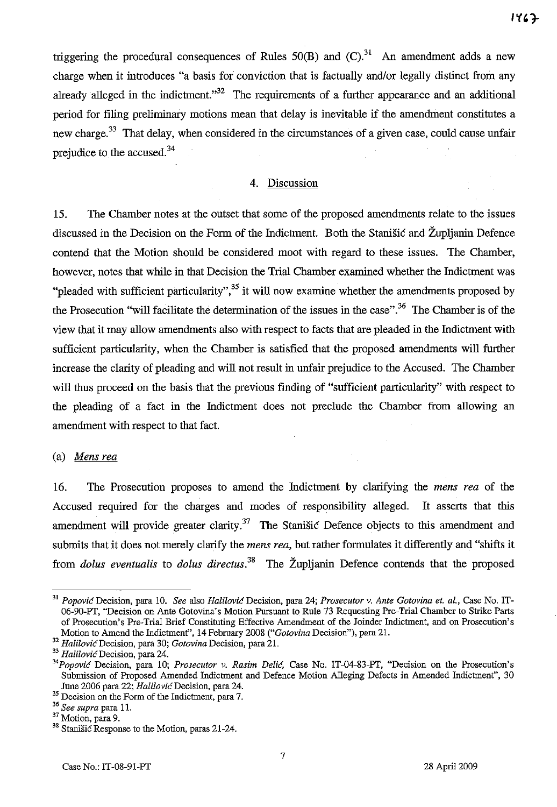$1467$ 

triggering the procedural consequences of Rules  $50(B)$  and  $(C)$ .<sup>31</sup> An amendment adds a new charge when it introduces "a basis for conviction that is factually and/or legally distinct from any already alleged in the indictment. $1.32$  The requirements of a further appearance and an additional period for filing preliminary motions mean that delay is inevitable if the amendment constitutes a new charge.<sup>33</sup> That delay, when considered in the circumstances of a given case, could cause unfair prejudice to the accused.<sup>34</sup>

## 4. Discussion

15. The Chamber notes at the outset that some of the proposed amendments relate to the issues discussed in the Decision on the Form of the Indictment. Both the Stanistic and Župljanin Defence contend that the Motion should be considered moot with regard to these issues. The Chamber, however, notes that while in that Decision the Trial Chamber examined whether the Indictment was "pleaded with sufficient particularity",  $35$  it will now examine whether the amendments proposed by the Prosecution "will facilitate the determination of the issues in the case". 36 The Chamber is of the view that it may allow amendments also with respect to facts that are pleaded in the Indictment with sufficient particularity, when the Chamber is satisfied that the proposed amendments will further increase the clarity of pleading and will not result in unfair prejudice to the Accused. The Chamber will thus proceed on the basis that the previous finding of "sufficient particularity" with respect to the pleading of a fact in the Indictment does not preclude the Chamber from allowing an amendment with respect to that fact.

## (a) *Mens rea*

16. The Prosecution proposes to amend the Indictment by clarifying the *mens rea* of the Accused required for the charges and modes of responsibility alleged. It asserts that this amendment will provide greater clarity.<sup>37</sup> The Stanistic Defence objects to this amendment and submits that it does not merely clarify the *mens rea,* but rather formulates it differently and "shifts it from *dolus eventualis* to *dolus directus.* 38 The Zupljanin Defence contends that the proposed

<sup>31</sup> *Popovic* Decision, para 10. *See* also *Halilovic* Decision, para 24; *Prosecutor v. Ante Gotovina et. aI.,* Case No. IT-06-90-PT, "Decision on Ante Gotovina's Motion Pursuant to Rule 73 Requesting Pre-Trial Chamber to Strike Parts of Prosecution' s Pre-Trial Brief Constituting Effective Amendment of the Joinder Indictment, and on Prosecution's Motion to Amend the Indictment", 14 February 2008 *("Gotovina* Decision"), para 21.

**<sup>32</sup>***HalilovicDecision,* **para 30;** *Gotovina* **Decision, para 21.** 

**<sup>33</sup>***HalilovicDecision,* **para 24.** 

*<sup>&</sup>quot;Popovic* Decision, para 10; *Prosecutor v. Rasim Delic,* Case No. IT-04-83-PT, "Decision on the Prosecution's Submission of Proposed Amended Indictment and Defence Motion Alleging Defects in Amended Indictment", 30 June 2006 para 22; Halilović Decision, para 24.

<sup>&</sup>lt;sup>35</sup> Decision on the Form of the Indictment, para 7.

*<sup>36</sup> See supra* para 11.

<sup>&</sup>lt;sup>37</sup> Motion, para 9.

<sup>&</sup>lt;sup>38</sup> Stanišić Response to the Motion, paras 21-24.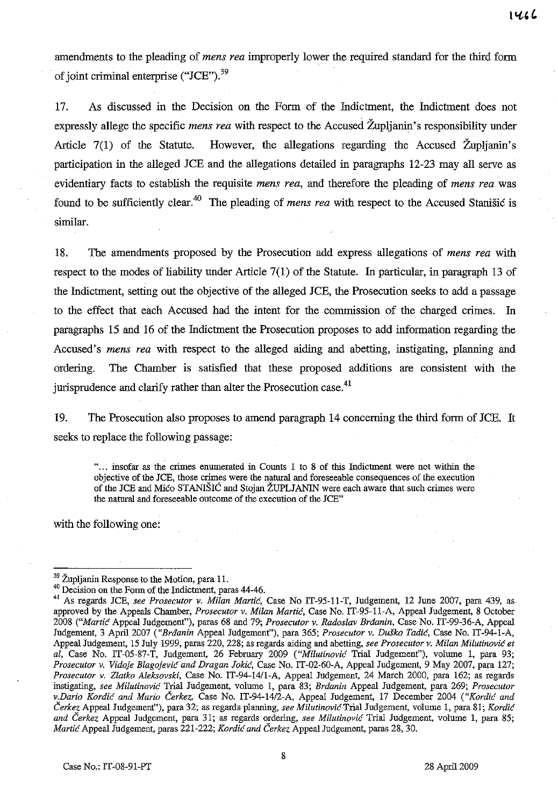amendments to the pleading of *mens rea* improperly lower the required standard for the third form of joint criminal enterprise ("JCE"). $^{39}$ 

17. As discussed in the Decision on the Form of the Indictment, the Indictment does not expressly allege the specific *mens rea* with respect to the Accused Zupljauin's responsibility under Article  $7(1)$  of the Statute. However, the allegations regarding the Accused Župlianin's participation in the alleged JCE and the allegations detailed in paragraphs 12-23 may all serve as evidentiary facts to establish the requisite *mens rea,* and therefore the pleading of *mens rea* was found to be sufficiently clear.40 The pleading of *mens rea* with respect to the Accused Stauisic is similar.

18. The amendments proposed by the Prosecution add express allegations of *mens rea* with respect to the modes of liability under Article 7(1) of the Statute. In particular, in paragraph 13 of the Indictment, setting out the objective of the alleged JCE, the Prosecution seeks to add a passage to the effect that each Accused had the intent for the commission of the charged crimes. In paragraphs 15 and 16 of the Indictment the Prosecution proposes to add information regarding the Accused's *mens rea* with respect to the alleged aiding and abetting, instigating, planning and ordering. The Chamber is satisfied that these proposed additions are consistent with the jurisprudence and clarify rather than alter the Prosecution case.<sup>41</sup>

19. The Prosecution also proposes to amend paragraph 14 conceruing the third form of JCE. It seeks to replace the following passage:

". .. insofar as the crimes enumerated in Counts 1 to 8 of this Indictment were not within the objective of the JCE, those crimes were the natnral and foreseeable consequences of the execution of the JCE and Mico STANIŠIC and Stojan ŽUPLJANIN were each aware that such crimes were the natnral and foreseeable outcome of the execution of the JCE"

with the following one:

<sup>&</sup>lt;sup>39</sup> Župljanin Response to the Motion, para 11.

<sup>&</sup>lt;sup>40</sup> Decision on the Form of the Indictment, paras 44-46.

<sup>41</sup> As regards JCE, *see Prosecutor v. Milan Martie,* Case No IT-95-11-T, Judgement, 12 June 2007, para 439, as approved by the Appeals Chamber, *Prosecutor v. Milan Martie,* Case No. IT-95-11-A, Appeal Judgement, 8 October *2008 ("Martie* Appeal Judgement"), paras 68 and 79; *Prosecutor v. Radoslav Brdanin,* Case No. IT-99-36-A, Appeal Judgement, 3 April 2007 *("Brdanin* Appeal Judgement"), para 365; *Prosecutor v. Dusko Tadie,* Case No. IT-94-1-A, Appeal Judgement, 15 July 1999, paras 220, 228; as regards aiding and abetting, *see Prosecutor v. Milan Milutinovie et ai,* Case No. IT-05-87-T, Judgement, 26 February 2009 *("Milutinovie* Trial Judgemenf'), volume 1, para 93; *Prosecutor v. Vidoje Blagojevie and Dragan Jokie,* Case No. IT-02-60-A, Appeal Judgement, 9 May 2007, para 127; *Prosecutor v. Ziatko Aleksovski,* Case No. IT-94-14/1-A, Appeal Judgement, 24 March 2000, para 162; as regards instigating, *see Milutinovie* Trial Judgement, volume 1, para 83; *Brdanin* Appeal Judgement, para 269; *Prosecutor v.Dario Kordie and Mario Cerkez,* Case No. *IT-94-14/2-A,* Appeal Judgement, 17 December 2004 *("Kordie and*  Čerkez Appeal Judgement''), para 32; as regards planning, *see Milutinović* Trial Judgement, volume 1, para 81; *Kordić and Cerkez* Appeal Judgement, para 31; as regards ordering, *see Milutinovie* Trial Judgement, volume 1, para 85; *Martie* Appeal Judgement, paras 221-222; *Kordie and Cerkez* Appeal Judgement, paras 28, 30.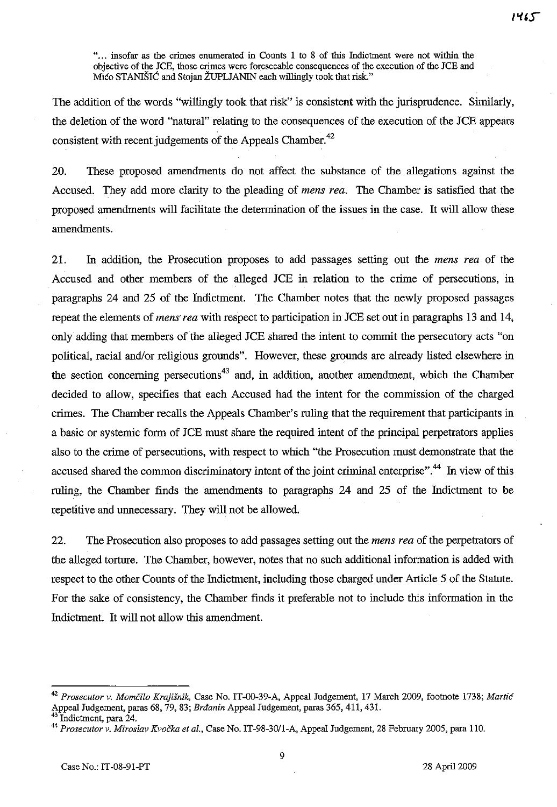". .. insofar as the crimes enumerated in Counts 1 to 8 of this Indictment were not within the objective of the JCE, those crimes were foreseeable consequences of the execution of the JCE and Mico STANIŠIĆ and Stojan ŽUPLJANIN each willingly took that risk."

The addition of the words "willingly took that risk" is consistent with the jurisprudence. Similarly, the deletion of the word "natnral" relating to the consequences of the execution of the JCE appears consistent with recent judgements of the Appeals Chamber.<sup>42</sup>

20. These proposed amendments do not affect the substance of the allegations against the Accused. They add more clarity to the pleading of *mens rea.* The Chamber is satisfied that the proposed amendments will facilitate the determination of the issues in the case. It will allow these amendments.

21. In addition, the Prosecution proposes to add passages setting out the *mens rea* of the Accused and other members of the alleged JCE in relation to the crime of persecutions, in paragraphs 24 and 25 of the Indictment. The Chamber notes that the newly proposed passages repeat the elements of *mens' rea* with respect to participation in JCE set out in paragraphs 13 and 14, only adding that members of the alleged JCE shared the intent to commit the persecutory acts "on political, racial and/or religious grounds". However, these grounds are already listed elsewhere in the section concerning persecutions<sup>43</sup> and, in addition, another amendment, which the Chamber decided to allow, specifies that each Accused had the intent for the commission of the charged crimes. The Chamber recalls the Appeals Chamber's ruling that the requirement that participants in a basic or systemic form of JCE must share the required intent of the principal perpetrators applies also to the crime of persecutions, with respect to which "the Prosecution must demonstrate that the accused shared the common discriminatory intent of the joint criminal enterprise".<sup>44</sup> In view of this ruling, the Chamber finds the amendments to paragraphs 24 and 25 of the Indictment to be repetitive and unnecessary. They will not be allowed.

22. The Prosecution also proposes to add passages setting out the *mens rea* of the perpetrators of the alleged torture. The Chamber, however, notes that no such additional information is added with respect to the other Counts of the Indictment, including those charged under Article 5 of the Statute. For the sake of consistency, the Chamber finds it preferable not to include this information in the Indictment. It will not allow this amendment.

<sup>42</sup>*Prosecutor v. MomCilo Krajisnik,* Case No. IT-00-39-A, Appeal Judgement, 17 March 2009, footnote 1738; *Martie*  Appeal Judgement, paras 68, 79,83; *Brdanin* Appeal Judgement, paras 365, 411, 431.

Indictment, para 24.

<sup>44</sup>*Prosecutor v. Miroslav Kvocka et al.,* Case No. IT *-98-30/1-A,* Appeal Judgement, 28 February 2005, para 110.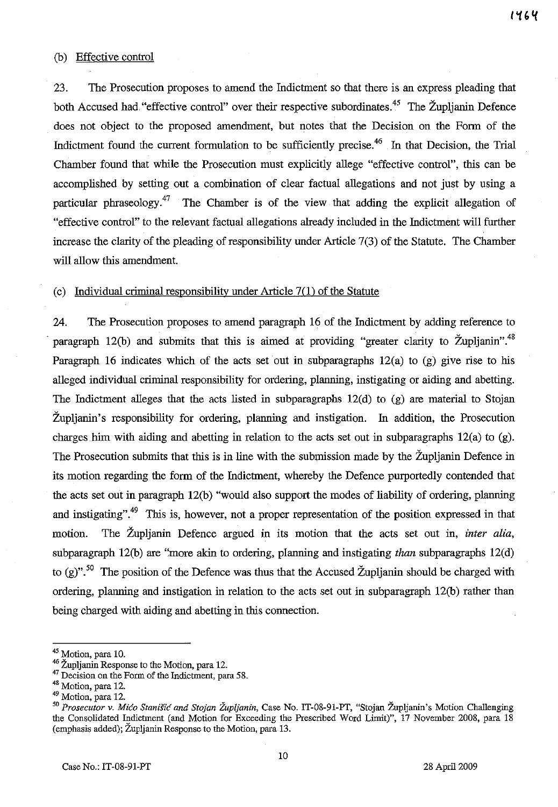#### (b) Effective control

23. The Prosecution proposes to amend the Indictment so that there is an express pleading that both Accused had "effective control" over their respective subordinates.<sup>45</sup> The Župljanin Defence does not object to the proposed amendment, but notes that the Decision on the Form of the Indictment found the current formulation to be sufficiently precise.<sup>46</sup> In that Decision, the Trial Chamber found that while the Prosecution must explicitly allege "effective control", this can be accomplished by setting out a combination of clear factual allegations and not just by using a particular phraseology.<sup>47</sup> The Chamber is of the view that adding the explicit allegation of "effective control" to the relevant factual allegations already included in the Indictment will further increase the clarity of the pleading of responsibility under Article 7(3) of the Statute. The Chamber will allow this amendment.

#### (c) Individual criminal responsibility under Article 7(1) of the Statute

24. The Prosecution proposes to amend paragraph 16 of the Indictment by adding reference to paragraph 12(b) and submits that this is aimed at providing "greater clarity to  $\check{Z}$ upljanin".<sup>48</sup> Paragraph 16 indicates which of the acts set out in subparagraphs  $12(a)$  to  $(g)$  give rise to his alleged individual criminal responsibility for ordering, planning, instigating or aiding and abetting. The Indictment alleges that the acts listed in subparagraphs  $12(d)$  to  $(g)$  are material to Stojan Zupljanin's responsibility for ordering, planning and instigation. In addition, the Prosecution charges him with aiding and abetting in relation to the acts set out in subparagraphs 12(a) to (g). The Prosecution submits that this is in line with the submission made by the Zupljanin Defence in its motion regarding the form of the Indictment, whereby the Defence purportedly contended that the acts set out in paragraph 12(b) "would also support the modes of liability of ordering, planning and instigating".<sup>49</sup> This is, however, not a proper representation of the position expressed in that motion. The Zupljanin Defence argued in its motion that the acts set out in, *inter alia,*  subparagraph 12(b) are "more akin to ordering, planning and instigating *than* subparagraphs 12(d) to (g)".<sup>50</sup> The position of the Defence was thus that the Accused Župljanin should be charged with ordering, planning and instigation in relation to the acts set out in subparagraph l2(b) rather than being charged with aiding and abetting in this connection.

<sup>&</sup>lt;sup>45</sup> Motion, para 10.

<sup>&</sup>lt;sup>46</sup> Župljanin Response to the Motion, para 12.

<sup>&</sup>lt;sup>47</sup> Decision on the Form of the Indictment, para 58.

<sup>&</sup>lt;sup>48</sup> Motion, para 12.

<sup>&</sup>lt;sup>49</sup> Motion, para 12.

<sup>50</sup>*Prosecutor* v. *M;co Stan;s;c and Stojan Zupljan;n,* Case No. IT-08-91-PT, "Stojan Zupljanin's Motion Challenging the Consolidated Indictment (and Motion for Exceeding the Prescribed Word Limit)", 17 November 2008, para 18 (emphasis added); Zupljanin Response to the Motion, para 13.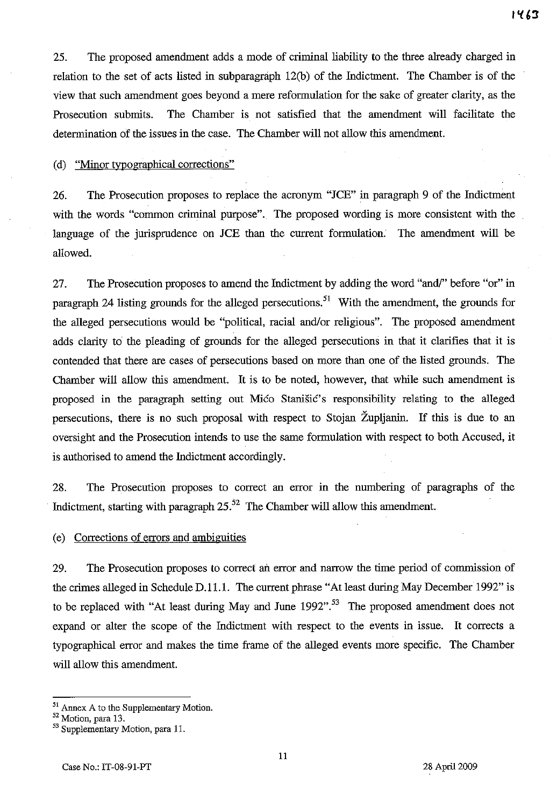25. The proposed amendment adds a mode of criminal liability to the three already charged in relation to the set of acts listed in subparagraph 12(b) of the Indictment. The Chamber is of the view that such amendment goes beyond a mere reformulation for the sake of greater clarity, as the Prosecution submits. The Chamber is not satisfied that the amendment will facilitate the determination of the issues in the case. The Chamber will not allow this amendment.

(d) "Minor typographical corrections"

26. The Prosecution proposes to replace the acronym "JCE" in paragraph 9 of the Indictment with the words "common criminal purpose". The proposed wording is more consistent with the language of the jurisprudence on JCE than the current formulation. The amendment will be allowed.

27. The Prosecution proposes to amend the Indictment by adding the word "and/" before "or" in paragraph 24 listing grounds for the alleged persecutions.<sup>51</sup> With the amendment, the grounds for the alleged persecutions would be "political, racial and/or religious". The proposed amendment adds clarity to the pleading of grounds for the alleged persecutions in that it clarifies that it is contended that there are cases of persecutions based on more than one of the listed grounds. The Chamber will allow this amendment. It is to be noted, however, that while such amendment is proposed in the paragraph setting out Mico Stanišic's responsibility relating to the alleged persecutions, there is no such proposal with respect to Stojan Zupljanin. If this is due to an oversight and the Prosecution intends to use the same formulation with respect to both Accused, it is authorised to amend the Indictment accordingly.

28. The Prosecution proposes to correct an error **in** the numbering of paragraphs of the Indictment, starting with paragraph  $25$ .<sup>52</sup> The Chamber will allow this amendment.

## (e) Corrections of errors and ambiguities

29. The Prosecution proposes to correct ail error and narrow the time period of commission of the crimes alleged in Schedule D.11.1. The current phrase "At least during May December 1992" is to be replaced with "At least during May and June  $1992$ "<sup>.53</sup> The proposed amendment does not expand or alter the scope of the Indictment with respect to the events in issue. It corrects a typographical error and makes the time frame of the alleged events more specific. The Chamber will allow this amendment.

<sup>51</sup> Annex A to the Supplementary Motion.

<sup>52</sup> Motion, para 13.

<sup>53</sup> Supplementary Motion, para 11.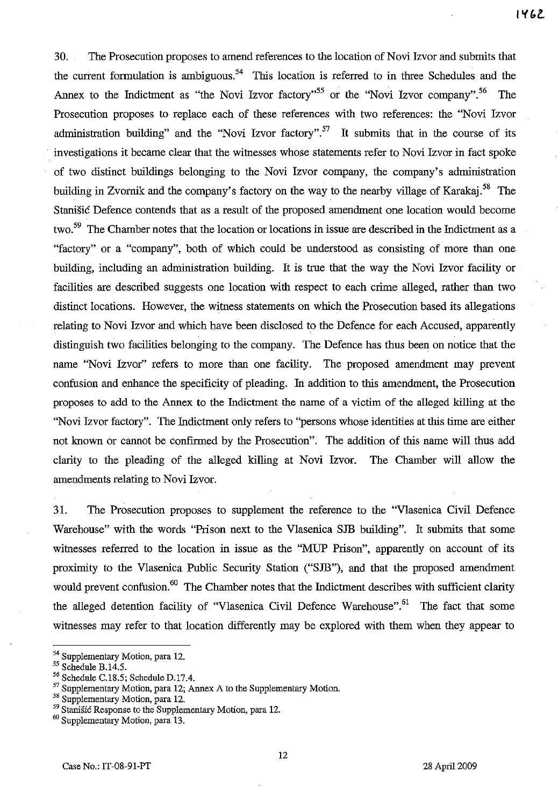30. The Prosecution proposes to amend references to the location of Novi Izvor and submits that the current formulation is ambiguous.<sup>54</sup> This location is referred to in three Schedules and the Annex to the Indictment as "the Novi Izvor factory".<sup>55</sup> or the "Novi Izvor company".<sup>56</sup> The Prosecution proposes to replace each of these references with two references: the "Novi Izvor administration building" and the "Novi Izvor factory".<sup>57</sup> It submits that in the course of its investigations it became clear that the witnesses whose statements refer to Novi Izvor in fact spoke of two distinct buildings belonging to the Novi Izvor company, the company's administration building in Zvornik and the company's factory on the way to the nearby village of Karakaj.<sup>58</sup> The Stanisic Defence contends that as a result of the proposed amendment one location would become two.<sup>59</sup> The Chamber notes that the location or locations in issue are described in the Indictment as a "factory" or a "company", both of which could be understood as consisting of more than one building, including an administration building. It is true that the way the Novi Izvor facility or facilities are described suggests one location with respect to each crime alleged, rather than two distinct locations. However, the witness statements on which the Prosecution based its allegations relating to Novi Izvor and which have been disclosed to the Defence for each Accused, apparently distinguish two facilities belonging to the company. The Defence has thus been on notice that the name "Novi Izvor" refers to more than one facility. The proposed amendment may prevent confusion and enhance the specificity of pleading. In addition to this amendment, the Prosecution proposes to add to the Annex to the Indictment the name of a victim of the alleged killing at the "Novi Izvor factory". The Indictment only refers to "persons whose identities at this time are either not known or cannot be confirmed by the Prosecution". The addition of this name will thus add clarity to the pleading of the alleged killing at Novi Izvor. The Chamber will allow the amendments relating to Novi Izvor.

31. The Prosecution proposes to supplement the reference to the "Vlasenica Civil Defence Warehouse" with the words "Prison next to the Vlasenica SJB building". It submits that some witnesses referred to the location in issue as the "MUP Prison", apparently on account of its proximity to the Vlasenica Public Security Station ("SJB"), and that the proposed amendment would prevent confusion.<sup>60</sup> The Chamber notes that the Indictment describes with sufficient clarity the alleged detention facility of "Vlasenica Civil Defence Warehouse".<sup>61</sup> The fact that some witnesses may refer to that location differently may be explored with them when they appear to

<sup>54</sup> Supplementary Motion, para 12.

<sup>55</sup> Schedule B.14.5.

<sup>56</sup> Schedule C.18.5; Schedule D.17.4.

<sup>&</sup>lt;sup>57</sup> Supplementary Motion, para 12; Annex A to the Supplementary Motion.

<sup>58</sup> Supplementary Motion, para 12.

<sup>59</sup> Stanišić Response to the Supplementary Motion, para 12.

<sup>60</sup> Supplementary Motion, para 13.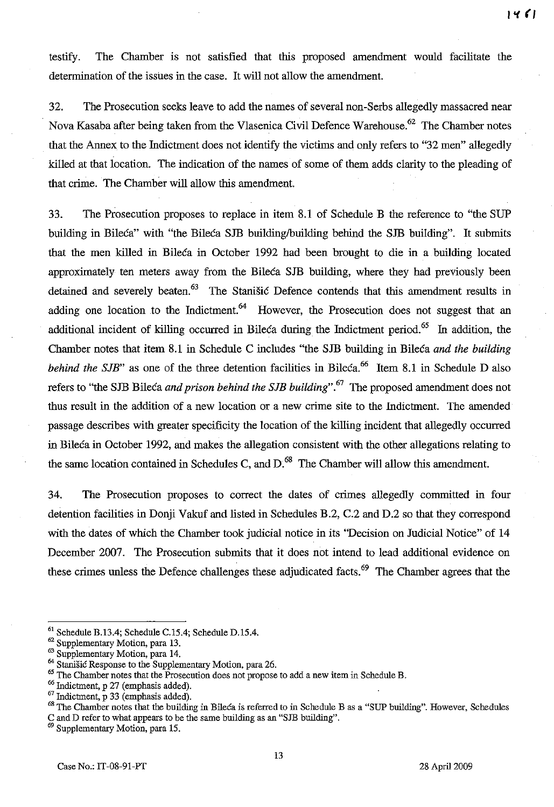testify. The Chamber is not satisfied that this proposed amendment would facilitate the determination of the issues in the case. It will not allow the amendment.

32. The Prosecution seeks leave to add the names of several non-Serbs allegedly massacred near Nova Kasaba after being taken from the Vlasenica Civil Defence Warehouse.<sup>62</sup> The Chamber notes that the Annex to the Indictment does not identify the victims and only refers to "32 men" allegedly killed at that location. The indication of the names of some of them adds clarity to the pleading of that crime. The Chamber will allow this amendment.

33. The Prosecution proposes to replace in item 8.1 of Schedule B the reference to "the SUP building in Bileca" with "the Bileca SJB building/building behind the SJB building". It submits that the men killed in Bileca in October 1992 had been brought to die in a building located approximately ten meters away from the Bileca SJB building, where they had previously been detained and severely beaten. $63$  The Stanisic Defence contends that this amendment results in adding one location to the Indictment.<sup>64</sup> However, the Prosecution does not suggest that an additional incident of killing occurred in Bileca during the Indictment period.<sup>65</sup> In addition, the Chamber notes that item 8.1 in Schedule C includes "the SJB building in Bileca *and the building behind the SJB*" as one of the three detention facilities in Bileca.<sup>66</sup> Item 8.1 in Schedule D also refers to "the SJB Bileca *and prison behind the SJB building".* 67 The proposed amendment does not thus result in the addition of a new location or a new crime site to the Indictment. The amended passage describes with greater specificity the location of the killing incident that allegedly occurred in Bileca in October 1992, and makes the allegation consistent with the other allegations relating to the same location contained in Schedules C, and  $D<sup>68</sup>$ . The Chamber will allow this amendment.

34. The Prosecution proposes to correct the dates of crimes allegedly committed in four detention facilities in Donji Vakuf and listed in Schedules B.2, C.2 and D.2 so that they correspond with the dates of which the Chamber took judicial notice in its "Decision on Judicial Notice" of 14 December 2007. The Prosecution submits that it does not intend to lead additional evidence on these crimes unless the Defence challenges these adjudicated facts.<sup>69</sup> The Chamber agrees that the

<sup>61</sup> Schedule B.13.4; Schedule C.15.4; Schedule D.15.4.

<sup>62</sup> Supplementary Motion, para 13.

<sup>&</sup>lt;sup>63</sup> Supplementary Motion, para 14.

<sup>&</sup>lt;sup>64</sup> Stanišić Response to the Supplementary Motion, para 26.

<sup>&</sup>lt;sup>65</sup> The Chamber notes that the Prosecution does not propose to add a new item in Schedule B.

<sup>&</sup>lt;sup>66</sup> Indictment, p 27 (emphasis added).

 $67$  Indictment, p 33 (emphasis added).

<sup>&</sup>lt;sup>68</sup> The Chamber notes that the building in Bileca is referred to in Schedule B as a "SUP building". However, Schedules C and D refer to what appears to be the same building as an "SJB building".

Supplementary Motion, para 15.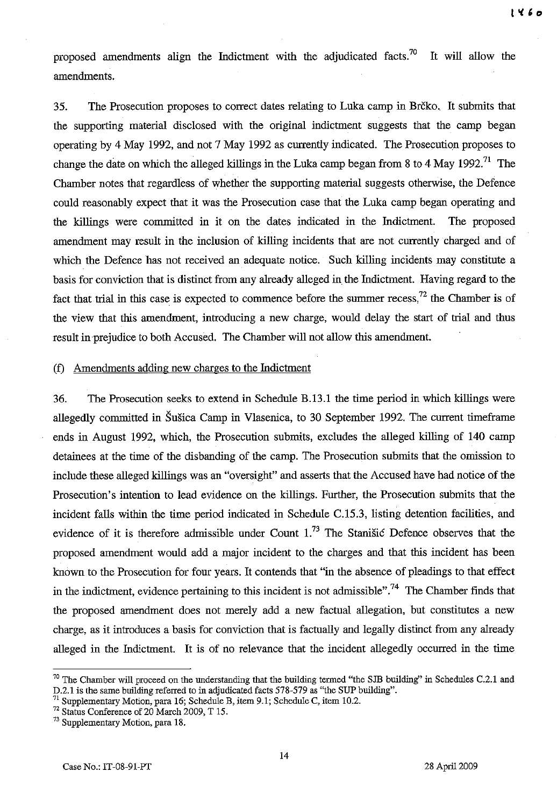proposed amendments align the Indictment with the adjudicated facts.<sup>70</sup> It will allow the amendments.

35. The Prosecution proposes to correct dates relating to Luka camp in Brčko. It submits that the supporting material disclosed with the original indictment suggests that the camp began operating by 4 May 1992, and not 7 May 1992 as currently indicated. The Prosecution proposes to change the date on which the alleged killings in the Luka camp began from 8 to 4 May 1992.<sup>71</sup> The Chamber notes that regardless of whether the supporting material suggests otherwise, the Defence could reasonably expect that it was the Prosecution case that the Luka camp began operating and the killings were committed in it on the dates indicated in the Indictment. The proposed amendment may result in the inclusion of killing incidents that are not currently charged and of which the Defence has not received an adequate notice. Such killing incidents may constitute a basis for conviction that is distinct from any already alleged in the Indictment. Having regard to the fact that trial in this case is expected to commence before the summer recess,<sup>72</sup> the Chamber is of the view that this amendment, introducing a new charge, would delay the start of trial and thus result in prejudice to both Accused. The Chamber will not allow this amendment.

## (f) Amendments adding new charges to the Indictment

36. The Prosecution seeks to extend in Schedule B.13.1 the time period in which killings were allegedly committed in Susica Camp in Vlasenica, to 30 September 1992. The current timeframe ends in August 1992, which, the Prosecution submits, excludes the alleged killing of 140 camp detainees at the time of the disbanding of the camp. The Prosecution submits that the omission to include these alleged killings was an "oversight" and asserts that the Accused have had notice of the Prosecution's intention to lead evidence on the killings. Further, the Prosecution submits that the incident falls within the time period indicated in Schedule C.15.3, listing detention facilities, and evidence of it is therefore admissible under Count 1.73 The Stanisic Defence observes that the proposed amendment would add a major incident to the charges and that this incident has been known to the Prosecution for four years. It contends that "in the absence of pleadings to that effect in the indictment, evidence pertaining to this incident is not admissible".<sup>74</sup> The Chamber finds that the proposed amendment does not merely add a new factual allegation, but constitutes a new charge, as it introduces a basis for conviction that is factually and legally distinct from any already alleged in the Indictment. It is of no relevance that the incident allegedly occurred in the time

 $70$  The Chamber will proceed on the understanding that the building termed "the SJB building" in Schedules C.2.1 and D.2.1 is the same building referred to in adjudicated facts 578-579 as "the SUP building".

<sup>&</sup>lt;sup>71</sup> Supplementary Motion, para 16; Schedule B, item 9.1; Schedule C, item 10.2.

 $72$  Status Conference of 20 March 2009, T 15.

<sup>73</sup> Supplementary Motion, para 18.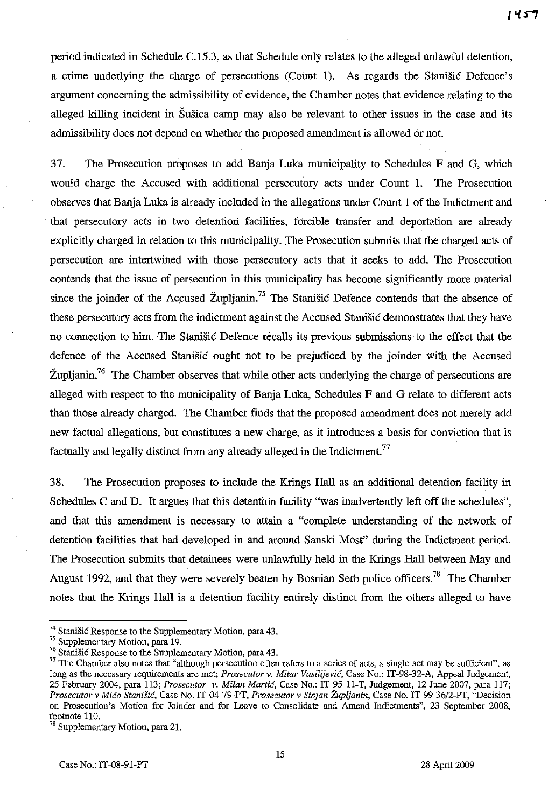period indicated in Schedule C.IS.3, as that Schedule only relates to the alleged unlawful detention, a crime underlying the charge of persecutions (Count 1). As regards the Stanisic Defence's argument concerning the admissibility of evidence, the Chamber notes that evidence relating to the alleged killing incident in Susica camp may also be relevant to other issues in the case and its admissibility does not depend on whether the proposed amendment is allowed or not.

37. The Prosecution proposes to add Banja Luka municipality to Schedules F and G, which would charge the Accused with additional persecutory acts under Count 1. The Prosecution observes that Banja Luka is already included in the allegations under Count 1 of the Indictment and that persecutory acts in two detention facilities, forcible transfer and deportation are already explicitly charged in relation to this municipality. The Prosecution submits that the charged acts of persecution are intertwined with those persecutory acts that it seeks to add. The Prosecution contends that the issue of persecution in this municipality has become significantly more material since the joinder of the Accused Župljanin.<sup>75</sup> The Stanišić Defence contends that the absence of these persecutory acts from the indictment against the Accused Stanisic demonstrates that they have no connection to him. The Stanisic Defence recalls its previous submissions to the effect that the defence of the Accused Stanisic ought not to be prejudiced by the joinder with the Accused  $\tilde{Z}$ upljanin.<sup>76</sup> The Chamber observes that while other acts underlying the charge of persecutions are alleged with respect to the municipality of Banja Luka, Schedules F and G relate to different acts than those already charged. The Chamber finds that the proposed amendment does not merely add new factual allegations, but constitutes a new charge, as it introduces a basis for conviction that is factually and legally distinct from any already alleged in the Indictment.<sup>77</sup>

38. The Prosecution proposes to include the Krings Hall as an additional detention facility in Schedules C and D. It argues that this detention facility "was inadvertently left off the schedules", and that this amendment is necessary to attain a "complete understanding of the network of detention facilities that had developed in and around Sanski Most" during the Indictment period. The Prosecution submits that detainees were unlawfully held in the Krings Hall between May and August 1992, and that they were severely beaten by Bosnian Serb police officers.<sup>78</sup> The Chamber notes that the Krings Hall is a detention facility entirely distinct from the others alleged to have

 $74$  Stanišić Response to the Supplementary Motion, para 43.

<sup>75</sup> Supplementary Motion, para 19.

<sup>&</sup>lt;sup>76</sup> Stanišić Response to the Supplementary Motion, para 43.

 $77$  The Chamber also notes that "although persecution often refers to a series of acts, a single act may be sufficient", as long as the necessary requirements are met; *Prosecutor v. Mitar Vasilijevie,* Case No.: IT-98-32-A, Appeal Judgement, 25 February 2004, para 113; *Prosecutor v. Milan Martie,* Case No.: IT-95-11-T, Judgement, 12 June 2007, para 117; *Prosecutor v Mieo Stanisie,* Case No. IT -04-79-PT, *Prosecutor v Stojan Zupljanin,* Case No. IT-99-36/2-PT, "Decision on Prosecution's Motion for Joinder and for Leave to Consolidate and Amend Indictments", 23 September 2008, footnote 110.

<sup>&</sup>lt;sup>78</sup> Supplementary Motion, para 21.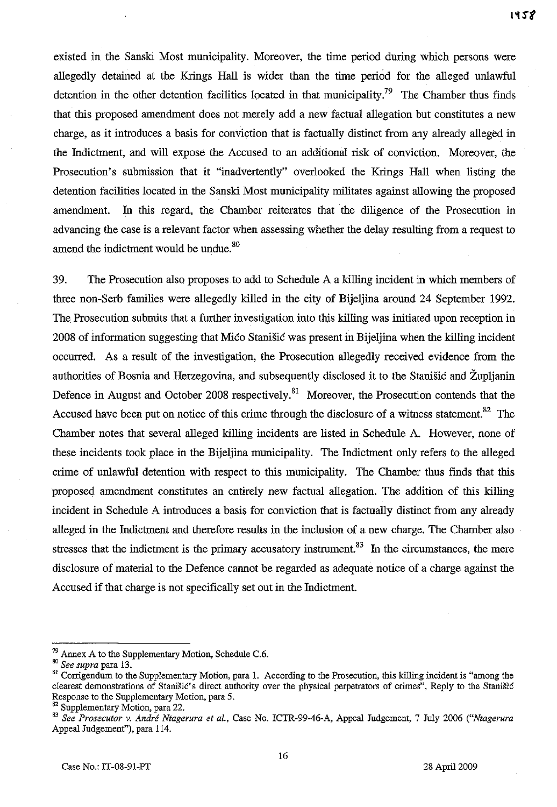existed in the Sanski Most municipality. Moreover, the time period during which persons were allegedly detained at the Krings Hall is wider than the time period for the alleged unlawful detention in the other detention facilities located in that municipality.<sup>79</sup> The Chamber thus finds that this proposed amendment does not merely add a new factual allegation but constitutes a new charge, as it introduces a basis for conviction that is factually distinct from any already alleged in the Indictment, and will expose the Accused to an additional risk of conviction. Moreover, the Prosecution's submission that it "inadvertently" overlooked the Krings Hall when listing the detention facilities located in the Sanski Most municipality militates against allowing the proposed amendment. In this regard, the Chamber reiterates that the diligence of the Prosecution in advancing the case is a relevant factor when assessing whether the delay resulting from a request to amend the indictment would be undue.<sup>80</sup>

39. The Prosecution also proposes to add to Schedule A a killing incident in which members of three non-Serb families were allegedly killed in the city of Bijeljina around 24 September 1992. The Prosecution submits that a further investigation into this killing was initiated upon reception in 2008 of information suggestiug that Mico Stanisic was present in Bijeljina when the killing incident occurred. As a result of the investigation, the Prosecution allegedly received evidence from the authorities of Bosnia and Herzegovina, and subsequently disclosed it to the Stanisic and Zupljanin Defence in August and October 2008 respectively.<sup>81</sup> Moreover, the Prosecution contends that the Accused have been put on notice of this crime through the disclosure of a witness statement.<sup>82</sup> The Chamber notes that several alleged killing incidents are listed in Schedule A. However, none of these incidents took place in the Bijeljina municipality. The Indictment only refers to the alleged crime of unlawful detention with respect to this municipality. The Chamber thus finds that this proposed amendment constitutes an entirely new factual allegation. The addition of this killing incident in Schedule A introduces a basis for conviction that is factually distinct from any already alleged in the Indictment and therefore results in the inclusion of a uew charge. The Chamber also stresses that the indictment is the primary accusatory instrument.<sup>83</sup> In the circumstances, the mere disclosure of material to the Defence cannot be regarded as adequate notice of a charge against the Accused if that charge is not specifically set out in the Indictment.

 $79$  Annex A to the Supplementary Motion, Schedule C.6.

<sup>80</sup>*See supra* para 13.

<sup>&</sup>lt;sup>81</sup> Corrigendum to the Supplementary Motion, para 1. According to the Prosecution, this killing incident is "among the clearest demonstrations of Stanišić's direct authority over the physical perpetrators of crimes", Reply to the Stanišić Response to the Supplementary Motion, para 5.

<sup>&</sup>lt;sup>2</sup> Supplementary Motion, para 22.

<sup>83</sup>*See Prosecutor v. Andre Ntagerura et aI.,* Case No. ICTR-99-46-A, Appeal Judgement, 7 July 2006 *("Ntagerura*  Appeal Judgement"), para 114.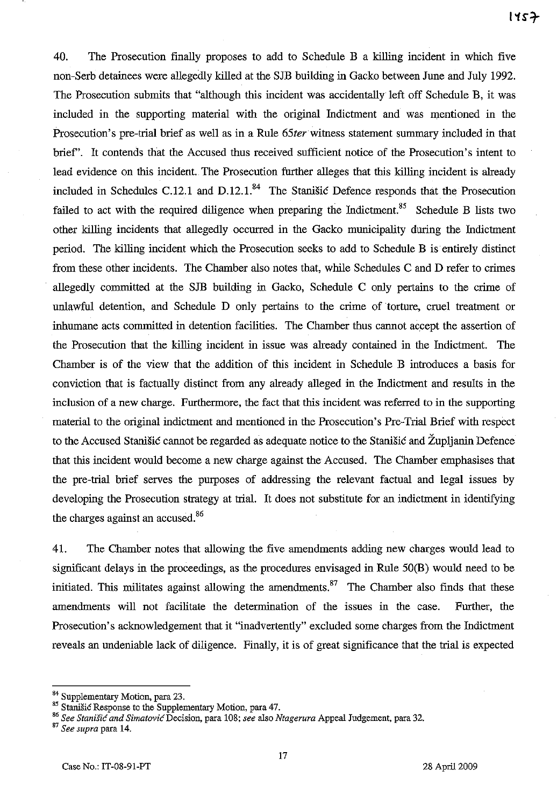40. The Prosecution finally proposes to add to Schedule B a killing incident in which five non-Serb detainees were allegedly killed at the SJB building in Gacko between June and July 1992. The Prosecution submits that "although this incident was accidentally left off Schedule B, it was included in the supporting material with the original Indictment and was mentioned in the Prosecution's pre-trial brief as well as in a Rule 65ter witness statement summary included in that brief'. It contends that the Accused thus received sufficient notice of the Prosecution's intent to lead evidence on this incident.. The Prosecution further alleges that this killing incident is already included in Schedules C.12.1 and D.12.1. $^{84}$  The Stanišic Defence responds that the Prosecution failed to act with the required diligence when preparing the Indictment.<sup>85</sup> Schedule B lists two other killing incidents that allegedly occurred in the Gacko municipality during the Indictment period. The killing incident which the Prosecution seeks to add to Schedule B is entirely distinct from these other incidents. The Chamber also notes that, while Schedules C and D refer to crimes allegedly committed at the SJB building in Gacko, Schedule C only pertains to the crime of unlawful detention, and Schedule D only pertains to the crime of torture, cruel treatment or inhumane acts committed in detention facilities. The Chamber thus cannot accept the assertion of the Prosecution that the killing incident in issue was already contained in the Indictment. The Chamber is of the view that the addition of this incident in Schedule B introduces a basis for conviction that is factually distinct from any already alleged in the Indictment and results in the inclusion of a new charge. Furthermore, the fact that this incident was referred to in the supporting material to the original indictment and mentioned in the Prosecution's Pre-Trial Brief with respect to the Accused Stanišić cannot be regarded as adequate notice to the Stanišić and Župljanin Defence that this incident would become a new charge against the Accused. The Chamber emphasises that the pre-trial brief serves the purposes of addressing the relevant factual and legal issues by developing the Prosecution strategy at trial. It does not substitute for an indictment in identifying the charges against an accused.<sup>86</sup>

41. The Chamber notes that allowing the five amendments adding new charges would lead to significant delays in the proceedings, as the procedures envisaged in Rule 50(B) would need to be initiated. This militates against allowing the amendments.<sup>87</sup> The Chamber also finds that these amendments will not facilitate the determination of the issues in the case. Further, the Prosecution's acknowledgement that it "inadvertently" excluded some charges from the Indictment reveals an undeniable lack of diligence. Finally, it is of great significance that the trial is expected

<sup>84</sup> Supplementary Motion, para 23.

<sup>85</sup> Stanišić Response to the Supplementary Motion, para 47.

<sup>86</sup> See Stanišić and Simatović Decision, para 108; see also Ntagerura Appeal Judgement, para 32.

<sup>87</sup>*See supra* para 14.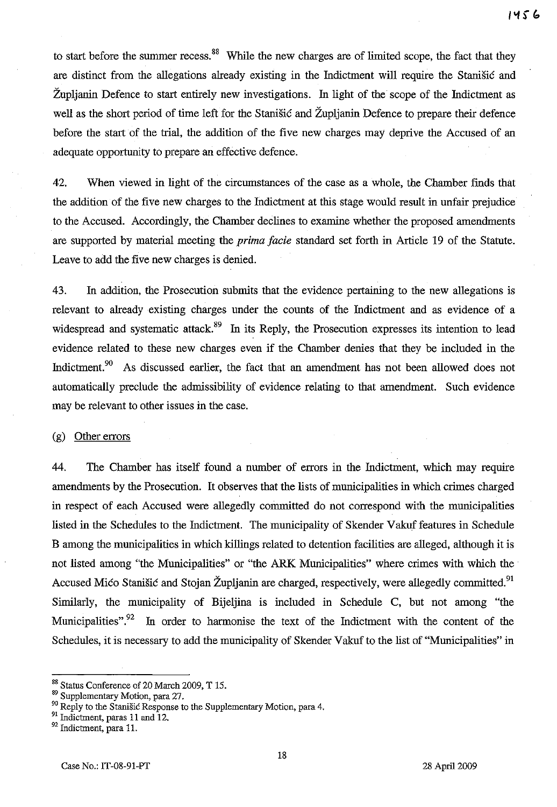to start before the summer recess.<sup>88</sup> While the new charges are of limited scope, the fact that they are distinct from the allegations already existing in the Indictment will require the Stanisic and Zupljanin Defence to start entirely new investigations. In light of the scope of the Indictment as well as the short period of time left for the Stanisic and Župljanin Defence to prepare their defence before the start of the trial, the addition of the five new charges may deprive the Accused of an adequate opportunity to prepare an effective defence.

42. When viewed in light of the circumstances of the case as a whole, the Chamber finds that the addition of the five new charges to the Indictment at this stage would result in unfair prejudice to the Accused. Accordingly, the Chamber declines to examine whether the proposed amendments are supported by material meeting the *prima facie* standard set forth in Article 19 of the Statute. Leave to add the five new charges is denied.

43. In addition, the Prosecution submits that the evidence pertaining to the new allegations is relevant to already existing charges under the counts of the Indictment and as evidence of a widespread and systematic attack.<sup>89</sup> In its Reply, the Prosecution expresses its intention to lead evidence related to these new charges even if the Chamber denies that they be included in the Indictment.<sup>90</sup> As discussed earlier, the fact that an amendment has not been allowed does not automatically preclude the admissibility of evidence relating to that amendment. Such evidence may be relevant to other issues in the case.

### (g) Other errors

44. The Chamber has itself found a nmnber of errors in the Indictment, which may require amendments by the Prosecution. It observes that the lists of municipalities in which crimes charged in respect of each Accused were allegedly committed do not correspond with the municipalities listed in the Schedules to the Indictment. The municipality of Skender Vakuf features in Schedule B among the municipalities in which killings related to detention facilities are alleged, although it is not listed among "the Municipalities" or "the ARK Municipalities" where crimes with which the Accused Mico Stanišic and Stojan Župljanin are charged, respectively, were allegedly committed.<sup>91</sup> Similarly, the municipality of Bijeljina is included in Schedule C, but not among "the Municipalities".<sup>92</sup> In order to harmonise the text of the Indictment with the content of the Schedules, it is necessary to add the municipality of Skender Vakuf to the list of "Municipalities" in

<sup>&</sup>lt;sup>88</sup> Status Conference of 20 March 2009, T 15.

<sup>&</sup>lt;sup>89</sup> Supplementary Motion, para 27.

<sup>&</sup>lt;sup>90</sup> Reply to the Stanišić Response to the Supplementary Motion, para 4.

<sup>&</sup>lt;sup>91</sup> Indictment, paras 11 and 12.

<sup>&</sup>lt;sup>92</sup> Indictment, para 11.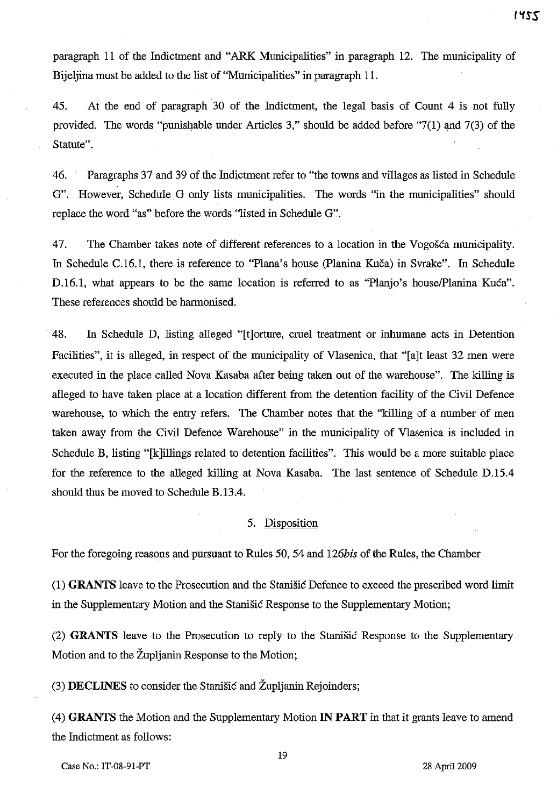paragraph 11 of the Indictment and "ARK Municipalities" in paragraph 12. The municipality of Bijeljina must be added to the list of "Municipalities" in paragraph 11.

45. At the end of paragraph 30 of the Indictment, the legal basis of Count 4 is not fully provided. The words "punishable under Articles 3," should be added before "7(1) and 7(3) of the Statute".

46. Paragraphs 37 and 39 of the Indictment refer to "the towns and villages as listed in Schedule G". However, Schedule G only lists municipalities. The words "in the municipalities" should replace the word "as" before the words "listed in Schedule G".

47. The Chamber takes note of different references to a location in the Vogošća municipality. In Schedule C.16.1, there is reference to "Plana's house (Planina Kuča) in Svrake". In Schedule D.16.1, what appears to be the same location is referred to as "Planjo's house/Planina Kuća". These references should be harmonised.

. 48. In Schedule **D,** listing alleged "[t]orture, cruel treatment or inhumane acts in Detention Facilities", it is alleged, in respect of the municipality of Vlasenica, that "[a]t least 32 men were executed in the place called Nova Kasaba after being taken out of the warehouse". The killing is alleged to have taken place at a location different from the detention facility of the Civil Defence warehouse, to which the entry refers. The Chamber notes that the "killing of a number of men taken away from the Civil Defence Warehouse" in the municipality of Vlasenica is included in Schedule B, listing "[k]illings related to detention facilities". This would be a more suitable place for the reference to the alleged killing at Nova Kasaba. The last sentence of Schedule D.15A should thus be moved to Schedule B.13A.

# 5. Disposition

For the foregoing reasons and pursuant to Rules 50, 54 and *126bis* of the Rules, the Chamber

(1) **GRANTS** leave to the Prosecution and the Stanisic Defence to exceed the prescribed word limit in the Supplementary Motion and the Stanisic Response to the Supplementary Motiou;

(2) **GRANTS** leave to the Prosecution to reply to the Stanisic Response to the Supplementary Motion and to the Zupljanin Response to the Motion;

(3) **DECLINES** to consider the Stanisic and Zupljanin Rejoinders;

(4) **GRANTS** the Motion and the Supplementary Motion **IN PART** in that it grants leave to amend the Indictment as follows:

Case No.: IT-08-91-PT 28 April 2009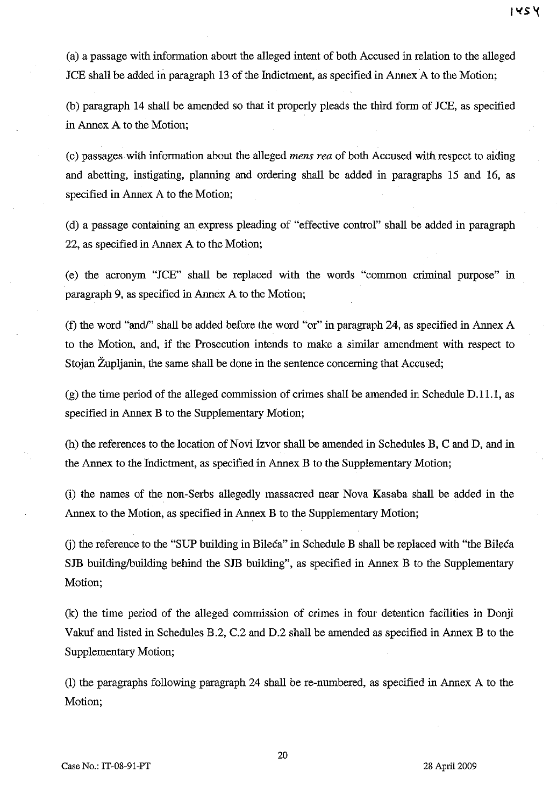(a) a passage with information about the alleged intent of both Accused in relation to the alleged JCE shall be added in paragraph 13 of the Indictment, as specified in Annex A to the Motion;

(b) paragraph 14 shall be amended so that it properly pleads the third form of JCE, as specified in Annex A to the Motion;

(c) passages with information about the alleged *mens rea* of both Accused with respect to aiding and abetting, instigating, planning and ordering shall be added in paragraphs 15 and 16, as specified in Annex A to the Motion;

(d) a passage containing an express pleading of "effective control" shall be added in paragraph 22, as specified in Annex A to the Motion;

(e) the acronym "JCE" shall be replaced with the words "common criminal purpose" in paragraph 9, as specified in Annex A to the Motion;

(f) the word "and/" shall be added before the word "or" in paragraph 24, as specified in Annex A to the Motion, and, if the Prosecution intends to make a similar amendment with respect to Stojan Župljanin, the same shall be done in the sentence concerning that Accused;

(g) the time period of the alleged commission of crimes shall be amended in Schedule D.ll.1, as specified in Annex B to the Supplementary Motion;

(h) the references to the location of Novi Izvor shall be amended in Schedules B, C and D, and in the Annex to the Indictment, as specified in Annex B to the Supplementary Motion;

(i) the names of the non-Serbs allegedly massacred near Nova Kasaba shall be added in the Annex to the Motion, as specified in Annex B to the Supplementary Motion;

G) the reference to the "SUP building in Bileca" in Schedule B shall be replaced with "the Bileca SJB building/building behind the SJB building", as specified in Annex B to the Supplementary Motion;

(k) the time period of the alleged commission of crimes in four detention facilities in Donji Vakuf and listed in Schedules B.2, C.2 and D.2 shall be amended as specified in Annex B to the Supplementary Motion;

(1) the paragraphs following paragraph 24 shall be re-numbered, as specified in Annex A to the Motion;